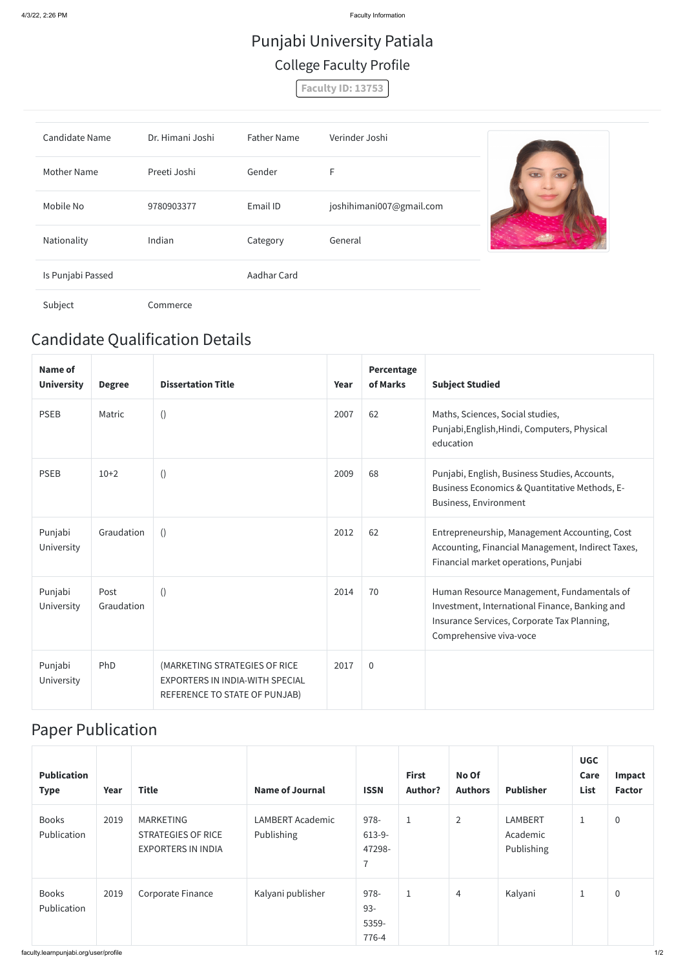4/3/22, 2:26 PM Faculty Information

## Candidate Qualification Details

| Name of<br><b>University</b> | <b>Degree</b>      | <b>Dissertation Title</b>                                                                         | Year | Percentage<br>of Marks | <b>Subject Studied</b>                                                                                                                                                 |
|------------------------------|--------------------|---------------------------------------------------------------------------------------------------|------|------------------------|------------------------------------------------------------------------------------------------------------------------------------------------------------------------|
| <b>PSEB</b>                  | Matric             | $\left( \right)$                                                                                  | 2007 | 62                     | Maths, Sciences, Social studies,<br>Punjabi, English, Hindi, Computers, Physical<br>education                                                                          |
| <b>PSEB</b>                  | $10+2$             | $\left( \right)$                                                                                  | 2009 | 68                     | Punjabi, English, Business Studies, Accounts,<br>Business Economics & Quantitative Methods, E-<br><b>Business, Environment</b>                                         |
| Punjabi<br>University        | Graudation         | $\left( \right)$                                                                                  | 2012 | 62                     | Entrepreneurship, Management Accounting, Cost<br>Accounting, Financial Management, Indirect Taxes,<br>Financial market operations, Punjabi                             |
| Punjabi<br>University        | Post<br>Graudation | $\left( \right)$                                                                                  | 2014 | 70                     | Human Resource Management, Fundamentals of<br>Investment, International Finance, Banking and<br>Insurance Services, Corporate Tax Planning,<br>Comprehensive viva-voce |
| Punjabi<br>University        | PhD                | (MARKETING STRATEGIES OF RICE<br>EXPORTERS IN INDIA-WITH SPECIAL<br>REFERENCE TO STATE OF PUNJAB) | 2017 | $\overline{0}$         |                                                                                                                                                                        |

## Paper Publication

| <b>Publication</b><br><b>Type</b> | Year | <b>Title</b>                                                        | <b>Name of Journal</b>                | <b>ISSN</b>                                  | <b>First</b><br><b>Author?</b> | No Of<br><b>Authors</b> | <b>Publisher</b>                  | <b>UGC</b><br>Care<br>List | Impact<br><b>Factor</b> |
|-----------------------------------|------|---------------------------------------------------------------------|---------------------------------------|----------------------------------------------|--------------------------------|-------------------------|-----------------------------------|----------------------------|-------------------------|
| <b>Books</b><br>Publication       | 2019 | MARKETING<br><b>STRATEGIES OF RICE</b><br><b>EXPORTERS IN INDIA</b> | <b>LAMBERT Academic</b><br>Publishing | 978-<br>$613-9-$<br>47298-<br>$\overline{7}$ | $\mathbf{1}$                   | $\overline{2}$          | LAMBERT<br>Academic<br>Publishing | $\mathbf 1$                | $\pmb{0}$               |
| <b>Books</b><br>Publication       | 2019 | Corporate Finance                                                   | Kalyani publisher                     | 978-<br>$93 -$<br>5359-<br>776-4             | $\mathbf{1}$                   | $\overline{4}$          | Kalyani                           | $\mathbf 1$                | $\pmb{0}$               |

# Punjabi University Patiala College Faculty Profile

**Faculty ID: 13753**

| <b>Candidate Name</b> | Dr. Himani Joshi | <b>Father Name</b> | Verinder Joshi           |  |
|-----------------------|------------------|--------------------|--------------------------|--|
| <b>Mother Name</b>    | Preeti Joshi     | Gender             | F                        |  |
| Mobile No             | 9780903377       | Email ID           | joshihimani007@gmail.com |  |
| Nationality           | Indian           | Category           | General                  |  |
| Is Punjabi Passed     |                  | Aadhar Card        |                          |  |
| Subject               | Commerce         |                    |                          |  |